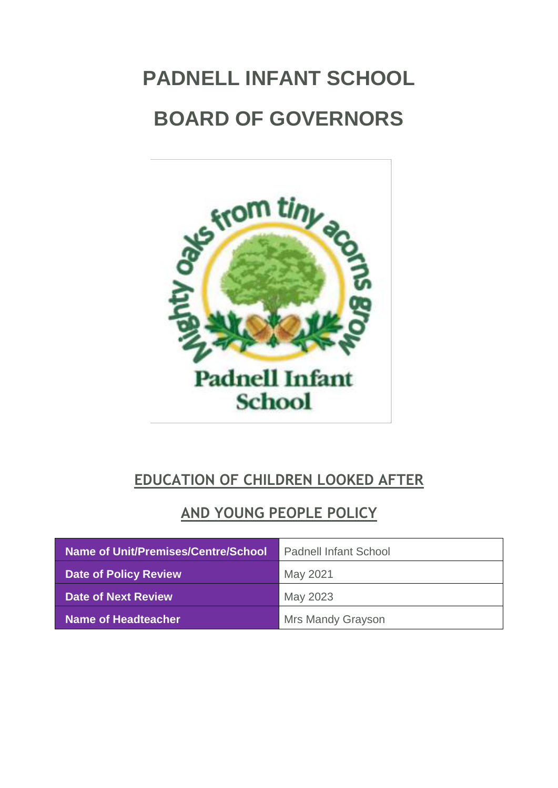# <span id="page-0-0"></span>**PADNELL INFANT SCHOOL BOARD OF GOVERNORS**



# **EDUCATION OF CHILDREN LOOKED AFTER**

# **AND YOUNG PEOPLE POLICY**

| Name of Unit/Premises/Centre/School | <b>Padnell Infant School</b> |
|-------------------------------------|------------------------------|
| <b>Date of Policy Review</b>        | May 2021                     |
| <b>Date of Next Review</b>          | May 2023                     |
| <b>Name of Headteacher</b>          | <b>Mrs Mandy Grayson</b>     |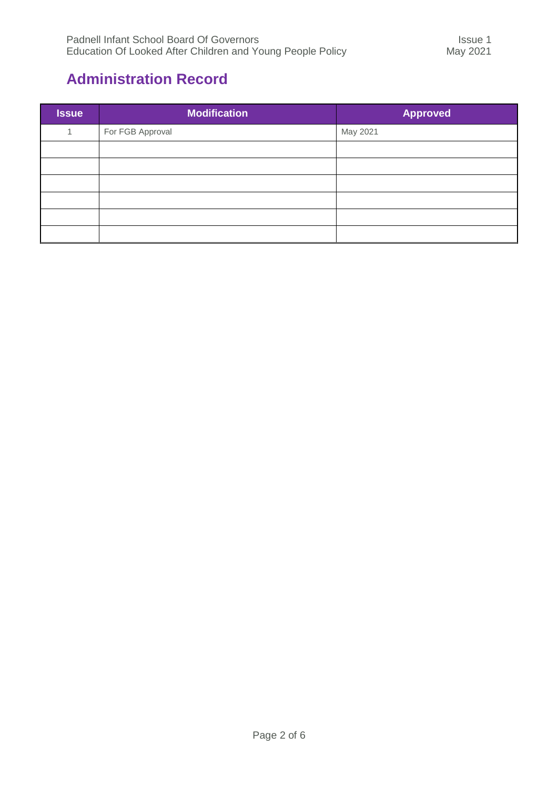### <span id="page-1-0"></span>**Administration Record**

| <b>Issue</b> | <b>Modification</b> | <b>Approved</b> |
|--------------|---------------------|-----------------|
|              | For FGB Approval    | May 2021        |
|              |                     |                 |
|              |                     |                 |
|              |                     |                 |
|              |                     |                 |
|              |                     |                 |
|              |                     |                 |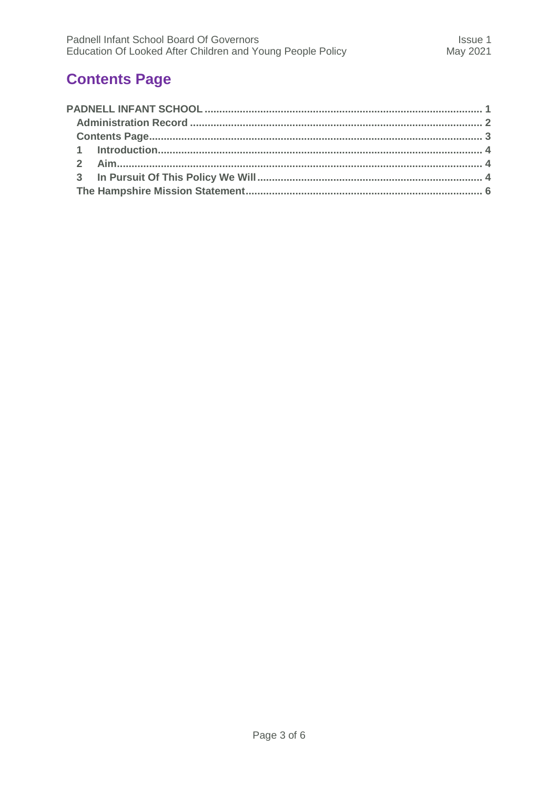## <span id="page-2-0"></span>**Contents Page**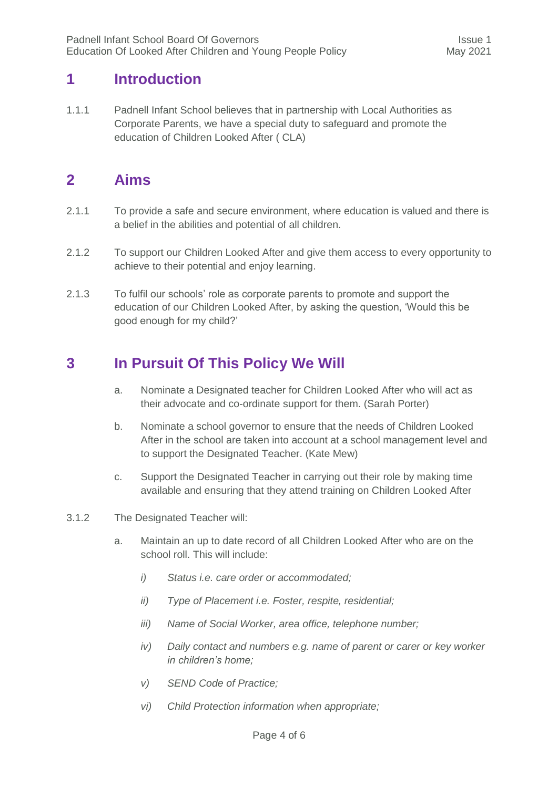#### <span id="page-3-0"></span>**1 Introduction**

1.1.1 Padnell Infant School believes that in partnership with Local Authorities as Corporate Parents, we have a special duty to safeguard and promote the education of Children Looked After ( CLA)

#### <span id="page-3-1"></span>**2 Aims**

- 2.1.1 To provide a safe and secure environment, where education is valued and there is a belief in the abilities and potential of all children.
- 2.1.2 To support our Children Looked After and give them access to every opportunity to achieve to their potential and enjoy learning.
- 2.1.3 To fulfil our schools' role as corporate parents to promote and support the education of our Children Looked After, by asking the question, 'Would this be good enough for my child?'

## <span id="page-3-2"></span>**3 In Pursuit Of This Policy We Will**

- a. Nominate a Designated teacher for Children Looked After who will act as their advocate and co-ordinate support for them. (Sarah Porter)
- b. Nominate a school governor to ensure that the needs of Children Looked After in the school are taken into account at a school management level and to support the Designated Teacher. (Kate Mew)
- c. Support the Designated Teacher in carrying out their role by making time available and ensuring that they attend training on Children Looked After
- 3.1.2 The Designated Teacher will:
	- a. Maintain an up to date record of all Children Looked After who are on the school roll. This will include:
		- *i) Status i.e. care order or accommodated;*
		- *ii) Type of Placement i.e. Foster, respite, residential;*
		- *iii) Name of Social Worker, area office, telephone number;*
		- *iv) Daily contact and numbers e.g. name of parent or carer or key worker in children's home;*
		- *v) SEND Code of Practice;*
		- *vi) Child Protection information when appropriate;*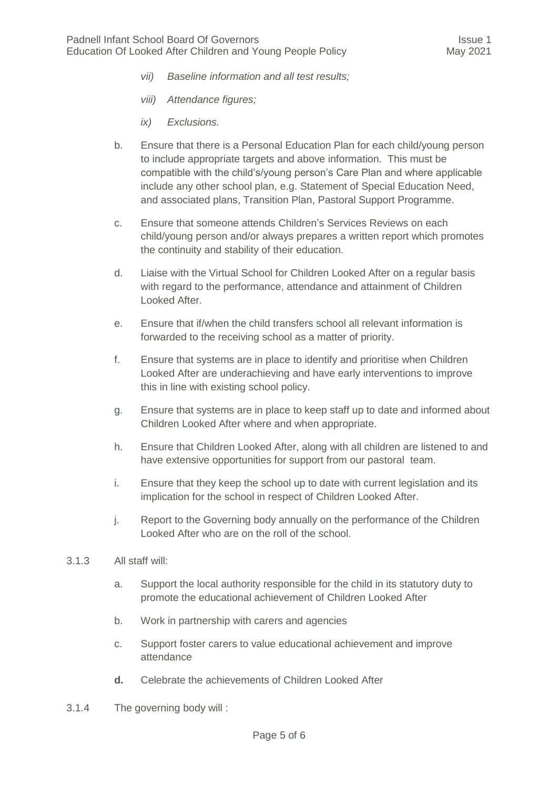- *vii) Baseline information and all test results;*
- *viii) Attendance figures;*
- *ix) Exclusions.*
- b. Ensure that there is a Personal Education Plan for each child/young person to include appropriate targets and above information. This must be compatible with the child's/young person's Care Plan and where applicable include any other school plan, e.g. Statement of Special Education Need, and associated plans, Transition Plan, Pastoral Support Programme.
- c. Ensure that someone attends Children's Services Reviews on each child/young person and/or always prepares a written report which promotes the continuity and stability of their education.
- d. Liaise with the Virtual School for Children Looked After on a regular basis with regard to the performance, attendance and attainment of Children Looked After.
- e. Ensure that if/when the child transfers school all relevant information is forwarded to the receiving school as a matter of priority.
- f. Ensure that systems are in place to identify and prioritise when Children Looked After are underachieving and have early interventions to improve this in line with existing school policy.
- g. Ensure that systems are in place to keep staff up to date and informed about Children Looked After where and when appropriate.
- h. Ensure that Children Looked After, along with all children are listened to and have extensive opportunities for support from our pastoral team.
- i. Ensure that they keep the school up to date with current legislation and its implication for the school in respect of Children Looked After.
- j. Report to the Governing body annually on the performance of the Children Looked After who are on the roll of the school.
- 3.1.3 All staff will:
	- a. Support the local authority responsible for the child in its statutory duty to promote the educational achievement of Children Looked After
	- b. Work in partnership with carers and agencies
	- c. Support foster carers to value educational achievement and improve attendance
	- **d.** Celebrate the achievements of Children Looked After
- 3.1.4 The governing body will :